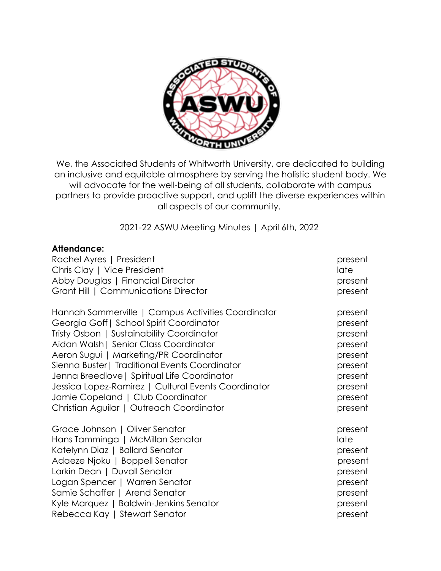

We, the Associated Students of Whitworth University, are dedicated to building an inclusive and equitable atmosphere by serving the holistic student body. We will advocate for the well-being of all students, collaborate with campus partners to provide proactive support, and uplift the diverse experiences within all aspects of our community.

2021-22 ASWU Meeting Minutes | April 6th, 2022

### **Attendance:**

| Rachel Ayres   President<br>Chris Clay   Vice President | present<br>late |
|---------------------------------------------------------|-----------------|
| Abby Douglas   Financial Director                       | present         |
| Grant Hill   Communications Director                    | present         |
| Hannah Sommerville   Campus Activities Coordinator      | present         |
| Georgia Goff   School Spirit Coordinator                | present         |
| Tristy Osbon   Sustainability Coordinator               | present         |
| Aidan Walsh   Senior Class Coordinator                  | present         |
| Aeron Sugui   Marketing/PR Coordinator                  | present         |
| Sienna Buster   Traditional Events Coordinator          | present         |
| Jenna Breedlove   Spiritual Life Coordinator            | present         |
| Jessica Lopez-Ramirez   Cultural Events Coordinator     | present         |
| Jamie Copeland   Club Coordinator                       | present         |
| Christian Aguilar   Outreach Coordinator                | present         |
| Grace Johnson   Oliver Senator                          | present         |
| Hans Tamminga   McMillan Senator                        | late            |
| Katelynn Diaz   Ballard Senator                         | present         |
| Adaeze Njoku   Boppell Senator                          | present         |
| Larkin Dean   Duvall Senator                            | present         |
| Logan Spencer   Warren Senator                          | present         |
| Samie Schaffer   Arend Senator                          | present         |
| Kyle Marquez   Baldwin-Jenkins Senator                  | present         |
| Rebecca Kay   Stewart Senator                           | present         |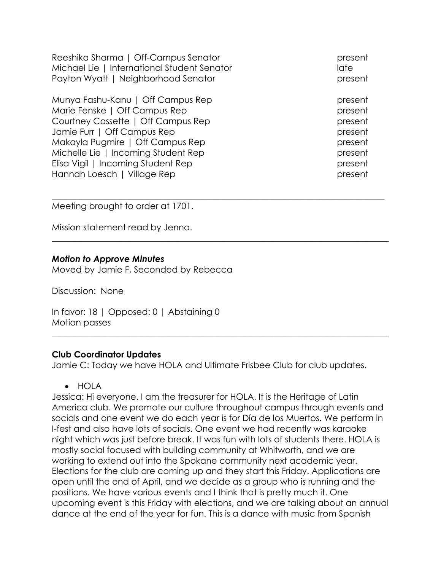Reeshika Sharma | Off-Campus Senator present present Michael Lie | International Student Senator late Payton Wyatt | Neighborhood Senator present present

Munya Fashu-Kanu | Off Campus Rep present Marie Fenske | Off Campus Rep present present Courtney Cossette | Off Campus Rep present Jamie Furr | Off Campus Rep present Makayla Pugmire | Off Campus Rep present Michelle Lie | Incoming Student Rep present Elisa Vigil | Incoming Student Rep present Hannah Loesch | Village Rep present

Meeting brought to order at 1701.

Mission statement read by Jenna.

### *Motion to Approve Minutes*

Moved by Jamie F, Seconded by Rebecca

Discussion: None

In favor: 18 | Opposed: 0 | Abstaining 0 Motion passes

### **Club Coordinator Updates**

Jamie C: Today we have HOLA and Ultimate Frisbee Club for club updates.

 $\_$  , and the set of the set of the set of the set of the set of the set of the set of the set of the set of the set of the set of the set of the set of the set of the set of the set of the set of the set of the set of th

 $\_$  , and the set of the set of the set of the set of the set of the set of the set of the set of the set of the set of the set of the set of the set of the set of the set of the set of the set of the set of the set of th

 $\_$  , and the set of the set of the set of the set of the set of the set of the set of the set of the set of the set of the set of the set of the set of the set of the set of the set of the set of the set of the set of th

• HOLA

Jessica: Hi everyone. I am the treasurer for HOLA. It is the Heritage of Latin America club. We promote our culture throughout campus through events and socials and one event we do each year is for Día de los Muertos. We perform in I-fest and also have lots of socials. One event we had recently was karaoke night which was just before break. It was fun with lots of students there. HOLA is mostly social focused with building community at Whitworth, and we are working to extend out into the Spokane community next academic year. Elections for the club are coming up and they start this Friday. Applications are open until the end of April, and we decide as a group who is running and the positions. We have various events and I think that is pretty much it. One upcoming event is this Friday with elections, and we are talking about an annual dance at the end of the year for fun. This is a dance with music from Spanish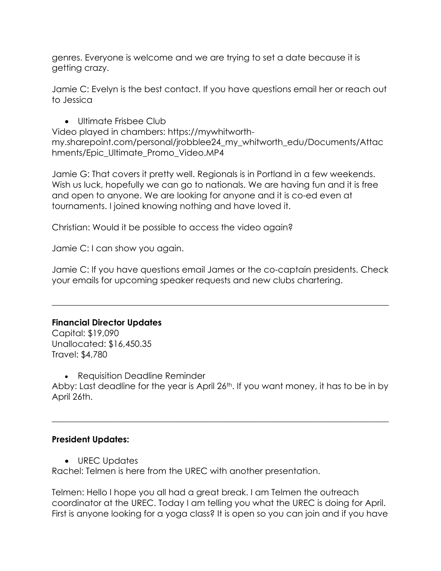genres. Everyone is welcome and we are trying to set a date because it is getting crazy.

Jamie C: Evelyn is the best contact. If you have questions email her or reach out to Jessica

• Ultimate Frisbee Club

Video played in chambers: https://mywhitworthmy.sharepoint.com/personal/jrobblee24\_my\_whitworth\_edu/Documents/Attac hments/Epic\_Ultimate\_Promo\_Video.MP4

Jamie G: That covers it pretty well. Regionals is in Portland in a few weekends. Wish us luck, hopefully we can go to nationals. We are having fun and it is free and open to anyone. We are looking for anyone and it is co-ed even at tournaments. I joined knowing nothing and have loved it.

Christian: Would it be possible to access the video again?

Jamie C: I can show you again.

Jamie C: If you have questions email James or the co-captain presidents. Check your emails for upcoming speaker requests and new clubs chartering.

\_\_\_\_\_\_\_\_\_\_\_\_\_\_\_\_\_\_\_\_\_\_\_\_\_\_\_\_\_\_\_\_\_\_\_\_\_\_\_\_\_\_\_\_\_\_\_\_\_\_\_\_\_\_\_\_\_\_\_\_\_\_\_\_\_\_\_\_\_\_\_\_\_\_\_\_\_\_

# **Financial Director Updates**

Capital: \$19,090 Unallocated: \$16,450.35 Travel: \$4,780

• Requisition Deadline Reminder

Abby: Last deadline for the year is April 26<sup>th</sup>. If you want money, it has to be in by April 26th.

 $\_$  , and the set of the set of the set of the set of the set of the set of the set of the set of the set of the set of the set of the set of the set of the set of the set of the set of the set of the set of the set of th

## **President Updates:**

• UREC Updates

Rachel: Telmen is here from the UREC with another presentation.

Telmen: Hello I hope you all had a great break. I am Telmen the outreach coordinator at the UREC. Today I am telling you what the UREC is doing for April. First is anyone looking for a yoga class? It is open so you can join and if you have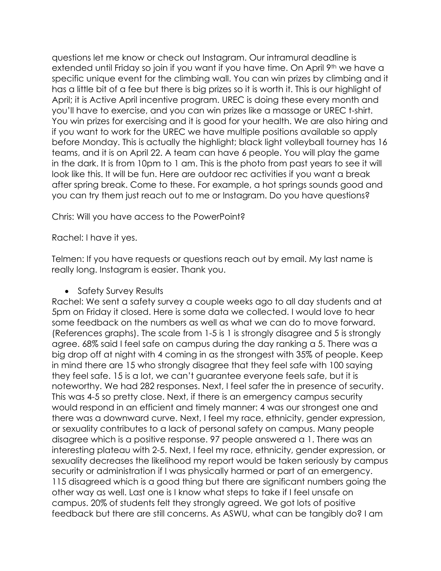questions let me know or check out Instagram. Our intramural deadline is extended until Friday so join if you want if you have time. On April 9th we have a specific unique event for the climbing wall. You can win prizes by climbing and it has a little bit of a fee but there is big prizes so it is worth it. This is our highlight of April; it is Active April incentive program. UREC is doing these every month and you'll have to exercise, and you can win prizes like a massage or UREC t-shirt. You win prizes for exercising and it is good for your health. We are also hiring and if you want to work for the UREC we have multiple positions available so apply before Monday. This is actually the highlight; black light volleyball tourney has 16 teams, and it is on April 22. A team can have 6 people. You will play the game in the dark. It is from 10pm to 1 am. This is the photo from past years to see it will look like this. It will be fun. Here are outdoor rec activities if you want a break after spring break. Come to these. For example, a hot springs sounds good and you can try them just reach out to me or Instagram. Do you have questions?

Chris: Will you have access to the PowerPoint?

Rachel: I have it yes.

Telmen: If you have requests or questions reach out by email. My last name is really long. Instagram is easier. Thank you.

### • Safety Survey Results

Rachel: We sent a safety survey a couple weeks ago to all day students and at 5pm on Friday it closed. Here is some data we collected. I would love to hear some feedback on the numbers as well as what we can do to move forward. (References graphs). The scale from 1-5 is 1 is strongly disagree and 5 is strongly agree. 68% said I feel safe on campus during the day ranking a 5. There was a big drop off at night with 4 coming in as the strongest with 35% of people. Keep in mind there are 15 who strongly disagree that they feel safe with 100 saying they feel safe. 15 is a lot, we can't guarantee everyone feels safe, but it is noteworthy. We had 282 responses. Next, I feel safer the in presence of security. This was 4-5 so pretty close. Next, if there is an emergency campus security would respond in an efficient and timely manner: 4 was our strongest one and there was a downward curve. Next, I feel my race, ethnicity, gender expression, or sexuality contributes to a lack of personal safety on campus. Many people disagree which is a positive response. 97 people answered a 1. There was an interesting plateau with 2-5. Next, I feel my race, ethnicity, gender expression, or sexuality decreases the likelihood my report would be taken seriously by campus security or administration if I was physically harmed or part of an emergency. 115 disagreed which is a good thing but there are significant numbers going the other way as well. Last one is I know what steps to take if I feel unsafe on campus. 20% of students felt they strongly agreed. We got lots of positive feedback but there are still concerns. As ASWU, what can be tangibly do? I am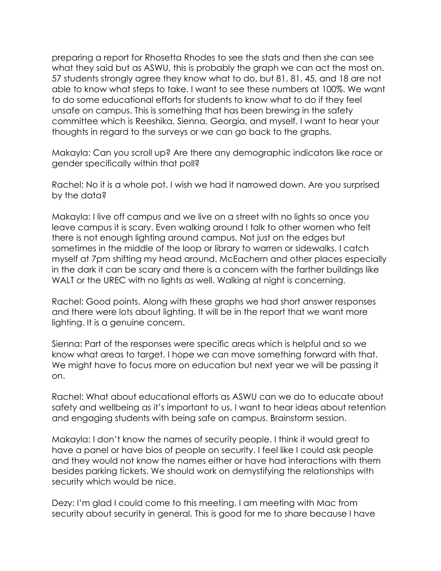preparing a report for Rhosetta Rhodes to see the stats and then she can see what they said but as ASWU, this is probably the graph we can act the most on. 57 students strongly agree they know what to do, but 81, 81, 45, and 18 are not able to know what steps to take. I want to see these numbers at 100%. We want to do some educational efforts for students to know what to do if they feel unsafe on campus. This is something that has been brewing in the safety committee which is Reeshika, Sienna, Georgia, and myself. I want to hear your thoughts in regard to the surveys or we can go back to the graphs.

Makayla: Can you scroll up? Are there any demographic indicators like race or gender specifically within that poll?

Rachel: No it is a whole pot. I wish we had it narrowed down. Are you surprised by the data?

Makayla: I live off campus and we live on a street with no lights so once you leave campus it is scary. Even walking around I talk to other women who felt there is not enough lighting around campus. Not just on the edges but sometimes in the middle of the loop or library to warren or sidewalks. I catch myself at 7pm shifting my head around. McEachern and other places especially in the dark it can be scary and there is a concern with the farther buildings like WALT or the UREC with no lights as well. Walking at night is concerning.

Rachel: Good points. Along with these graphs we had short answer responses and there were lots about lighting. It will be in the report that we want more lighting. It is a genuine concern.

Sienna: Part of the responses were specific areas which is helpful and so we know what areas to target. I hope we can move something forward with that. We might have to focus more on education but next year we will be passing it on.

Rachel: What about educational efforts as ASWU can we do to educate about safety and wellbeing as it's important to us. I want to hear ideas about retention and engaging students with being safe on campus. Brainstorm session.

Makayla: I don't know the names of security people. I think it would great to have a panel or have bios of people on security. I feel like I could ask people and they would not know the names either or have had interactions with them besides parking tickets. We should work on demystifying the relationships with security which would be nice.

Dezy: I'm glad I could come to this meeting. I am meeting with Mac from security about security in general. This is good for me to share because I have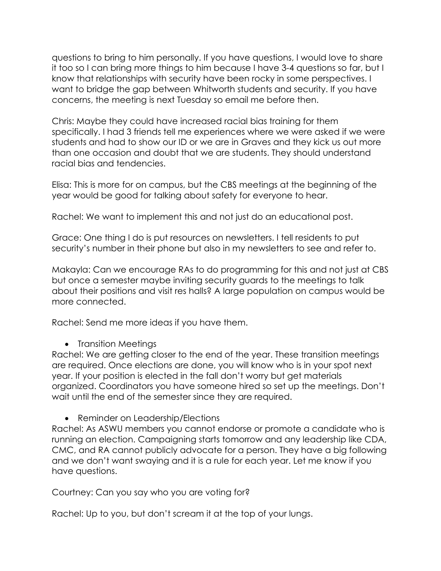questions to bring to him personally. If you have questions, I would love to share it too so I can bring more things to him because I have 3-4 questions so far, but I know that relationships with security have been rocky in some perspectives. I want to bridge the gap between Whitworth students and security. If you have concerns, the meeting is next Tuesday so email me before then.

Chris: Maybe they could have increased racial bias training for them specifically. I had 3 friends tell me experiences where we were asked if we were students and had to show our ID or we are in Graves and they kick us out more than one occasion and doubt that we are students. They should understand racial bias and tendencies.

Elisa: This is more for on campus, but the CBS meetings at the beginning of the year would be good for talking about safety for everyone to hear.

Rachel: We want to implement this and not just do an educational post.

Grace: One thing I do is put resources on newsletters. I tell residents to put security's number in their phone but also in my newsletters to see and refer to.

Makayla: Can we encourage RAs to do programming for this and not just at CBS but once a semester maybe inviting security guards to the meetings to talk about their positions and visit res halls? A large population on campus would be more connected.

Rachel: Send me more ideas if you have them.

## • Transition Meetings

Rachel: We are getting closer to the end of the year. These transition meetings are required. Once elections are done, you will know who is in your spot next year. If your position is elected in the fall don't worry but get materials organized. Coordinators you have someone hired so set up the meetings. Don't wait until the end of the semester since they are required.

## • Reminder on Leadership/Elections

Rachel: As ASWU members you cannot endorse or promote a candidate who is running an election. Campaigning starts tomorrow and any leadership like CDA, CMC, and RA cannot publicly advocate for a person. They have a big following and we don't want swaying and it is a rule for each year. Let me know if you have questions.

Courtney: Can you say who you are voting for?

Rachel: Up to you, but don't scream it at the top of your lungs.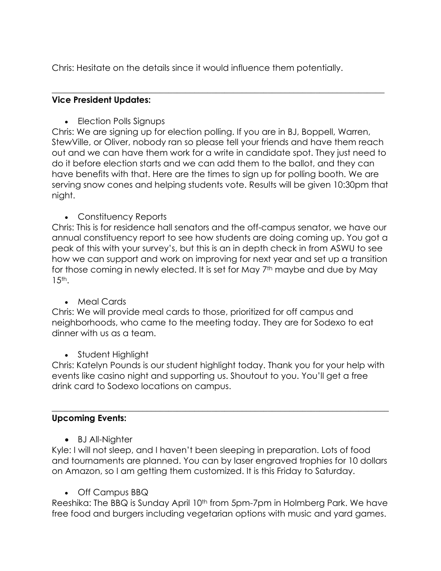Chris: Hesitate on the details since it would influence them potentially.

## **Vice President Updates:**

• Election Polls Signups

Chris: We are signing up for election polling. If you are in BJ, Boppell, Warren, StewVille, or Oliver, nobody ran so please tell your friends and have them reach out and we can have them work for a write in candidate spot. They just need to do it before election starts and we can add them to the ballot, and they can have benefits with that. Here are the times to sign up for polling booth. We are serving snow cones and helping students vote. Results will be given 10:30pm that night.

 $\_$  , and the set of the set of the set of the set of the set of the set of the set of the set of the set of the set of the set of the set of the set of the set of the set of the set of the set of the set of the set of th

• Constituency Reports

Chris: This is for residence hall senators and the off-campus senator, we have our annual constituency report to see how students are doing coming up. You got a peak of this with your survey's, but this is an in depth check in from ASWU to see how we can support and work on improving for next year and set up a transition for those coming in newly elected. It is set for May 7<sup>th</sup> maybe and due by May 15th.

• Meal Cards

Chris: We will provide meal cards to those, prioritized for off campus and neighborhoods, who came to the meeting today. They are for Sodexo to eat dinner with us as a team.

• Student Highlight

Chris: Katelyn Pounds is our student highlight today. Thank you for your help with events like casino night and supporting us. Shoutout to you. You'll get a free drink card to Sodexo locations on campus.

 $\_$  , and the set of the set of the set of the set of the set of the set of the set of the set of the set of the set of the set of the set of the set of the set of the set of the set of the set of the set of the set of th

# **Upcoming Events:**

• BJ All-Nighter

Kyle: I will not sleep, and I haven't been sleeping in preparation. Lots of food and tournaments are planned. You can by laser engraved trophies for 10 dollars on Amazon, so I am getting them customized. It is this Friday to Saturday.

• Off Campus BBQ

Reeshika: The BBQ is Sunday April 10<sup>th</sup> from 5pm-7pm in Holmberg Park. We have free food and burgers including vegetarian options with music and yard games.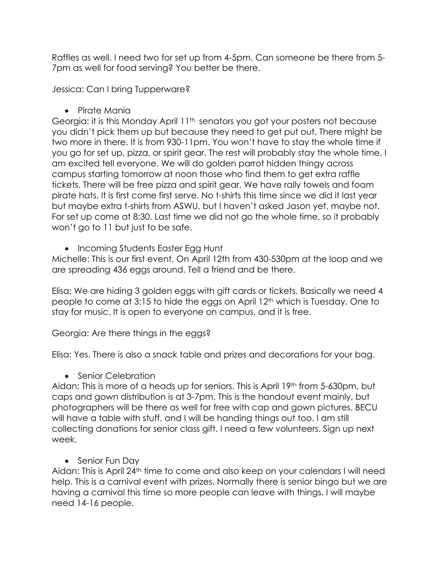Raffles as well. I need two for set up from 4-5pm. Can someone be there from 5- 7pm as well for food serving? You better be there.

Jessica: Can I bring Tupperware?

• Pirate Mania

Georgia: it is this Monday April 11<sup>th.</sup> senators you got your posters not because you didn't pick them up but because they need to get put out. There might be two more in there. It is from 930-11pm. You won't have to stay the whole time if you go for set up, pizza, or spirit gear. The rest will probably stay the whole time. I am excited tell everyone. We will do golden parrot hidden thingy across campus starting tomorrow at noon those who find them to get extra raffle tickets. There will be free pizza and spirit gear. We have rally towels and foam pirate hats. It is first come first serve. No t-shirts this time since we did it last year but maybe extra t-shirts from ASWU, but I haven't asked Jason yet, maybe not. For set up come at 8:30. Last time we did not go the whole time, so it probably won't go to 11 but just to be safe.

• Incoming Students Easter Egg Hunt

Michelle: This is our first event. On April 12th from 430-530pm at the loop and we are spreading 436 eggs around. Tell a friend and be there.

Elisa: We are hiding 3 golden eggs with gift cards or tickets. Basically we need 4 people to come at 3:15 to hide the eggs on April 12th which is Tuesday. One to stay for music. It is open to everyone on campus, and it is free.

Georgia: Are there things in the eggs?

Elisa: Yes. There is also a snack table and prizes and decorations for your bag.

• Senior Celebration

Aidan: This is more of a heads up for seniors. This is April 19<sup>th</sup> from 5-630pm, but caps and gown distribution is at 3-7pm. This is the handout event mainly, but photographers will be there as well for free with cap and gown pictures. BECU will have a table with stuff, and I will be handing things out too. I am still collecting donations for senior class gift. I need a few volunteers. Sign up next week.

• Senior Fun Day

Aidan: This is April 24th time to come and also keep on your calendars I will need help. This is a carnival event with prizes. Normally there is senior bingo but we are having a carnival this time so more people can leave with things. I will maybe need 14-16 people.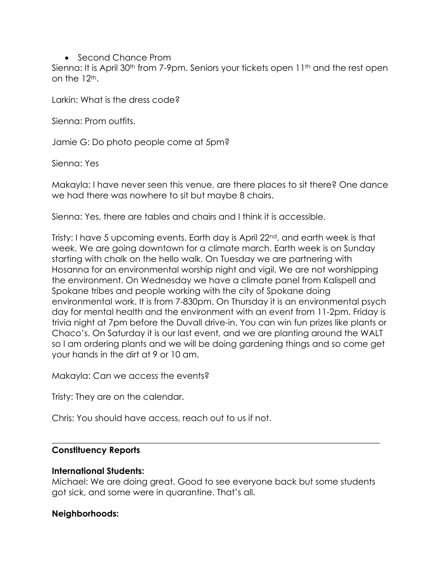### • Second Chance Prom

Sienna: It is April 30<sup>th</sup> from 7-9pm. Seniors your tickets open 11<sup>th</sup> and the rest open on the  $12<sup>th</sup>$ .

Larkin: What is the dress code?

Sienna: Prom outfits.

Jamie G: Do photo people come at 5pm?

Sienna: Yes

Makayla: I have never seen this venue, are there places to sit there? One dance we had there was nowhere to sit but maybe 8 chairs.

Sienna: Yes, there are tables and chairs and I think it is accessible.

Tristy: I have 5 upcoming events. Earth day is April 22nd, and earth week is that week. We are going downtown for a climate march. Earth week is on Sunday starting with chalk on the hello walk. On Tuesday we are partnering with Hosanna for an environmental worship night and vigil. We are not worshipping the environment. On Wednesday we have a climate panel from Kalispell and Spokane tribes and people working with the city of Spokane doing environmental work. It is from 7-830pm. On Thursday it is an environmental psych day for mental health and the environment with an event from 11-2pm. Friday is trivia night at 7pm before the Duvall drive-in. You can win fun prizes like plants or Chaco's. On Saturday it is our last event, and we are planting around the WALT so I am ordering plants and we will be doing gardening things and so come get your hands in the dirt at 9 or 10 am.

Makayla: Can we access the events?

Tristy: They are on the calendar.

Chris: You should have access, reach out to us if not.

### **Constituency Reports**

### **International Students:**

Michael: We are doing great. Good to see everyone back but some students got sick, and some were in quarantine. That's all.

\_\_\_\_\_\_\_\_\_\_\_\_\_\_\_\_\_\_\_\_\_\_\_\_\_\_\_\_\_\_\_\_\_\_\_\_\_\_\_\_\_\_\_\_\_\_\_\_\_\_\_\_\_\_\_\_\_\_\_\_\_\_\_\_\_\_\_\_\_\_\_\_\_\_\_\_

## **Neighborhoods:**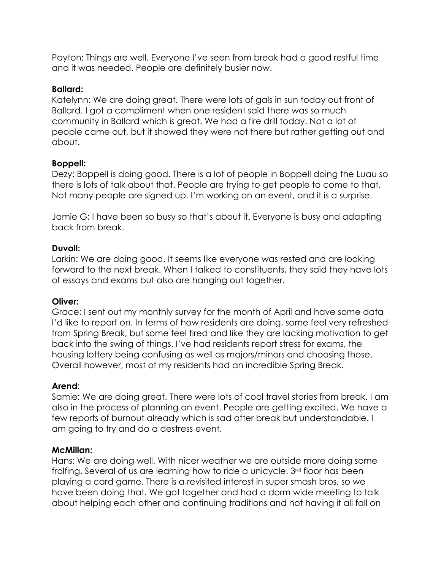Payton: Things are well. Everyone I've seen from break had a good restful time and it was needed. People are definitely busier now.

## **Ballard:**

Katelynn: We are doing great. There were lots of gals in sun today out front of Ballard. I got a compliment when one resident said there was so much community in Ballard which is great. We had a fire drill today. Not a lot of people came out, but it showed they were not there but rather getting out and about.

# **Boppell:**

Dezy: Boppell is doing good. There is a lot of people in Boppell doing the Luau so there is lots of talk about that. People are trying to get people to come to that. Not many people are signed up. I'm working on an event, and it is a surprise.

Jamie G: I have been so busy so that's about it. Everyone is busy and adapting back from break.

## **Duvall:**

Larkin: We are doing good. It seems like everyone was rested and are looking forward to the next break. When I talked to constituents, they said they have lots of essays and exams but also are hanging out together.

# **Oliver:**

Grace: I sent out my monthly survey for the month of April and have some data I'd like to report on. In terms of how residents are doing, some feel very refreshed from Spring Break, but some feel tired and like they are lacking motivation to get back into the swing of things. I've had residents report stress for exams, the housing lottery being confusing as well as majors/minors and choosing those. Overall however, most of my residents had an incredible Spring Break.

# **Arend**:

Samie: We are doing great. There were lots of cool travel stories from break. I am also in the process of planning an event. People are getting excited. We have a few reports of burnout already which is sad after break but understandable. I am going to try and do a destress event.

# **McMillan:**

Hans: We are doing well. With nicer weather we are outside more doing some frolfing. Several of us are learning how to ride a unicycle. 3rd floor has been playing a card game. There is a revisited interest in super smash bros, so we have been doing that. We got together and had a dorm wide meeting to talk about helping each other and continuing traditions and not having it all fall on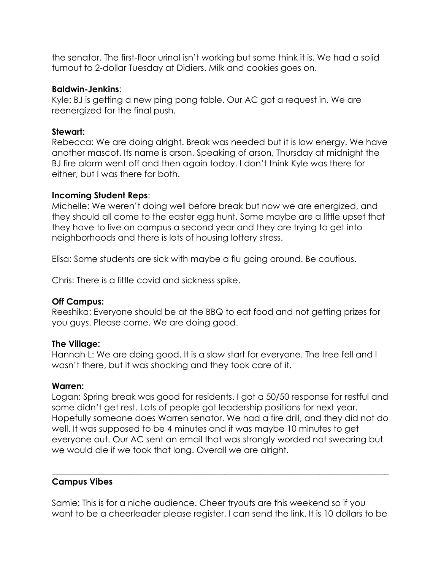the senator. The first-floor urinal isn't working but some think it is. We had a solid turnout to 2-dollar Tuesday at Didiers. Milk and cookies goes on.

### **Baldwin-Jenkins**:

Kyle: BJ is getting a new ping pong table. Our AC got a request in. We are reenergized for the final push.

## **Stewart:**

Rebecca: We are doing alright. Break was needed but it is low energy. We have another mascot. Its name is arson. Speaking of arson, Thursday at midnight the BJ fire alarm went off and then again today. I don't think Kyle was there for either, but I was there for both.

## **Incoming Student Reps**:

Michelle: We weren't doing well before break but now we are energized, and they should all come to the easter egg hunt. Some maybe are a little upset that they have to live on campus a second year and they are trying to get into neighborhoods and there is lots of housing lottery stress.

Elisa: Some students are sick with maybe a flu going around. Be cautious.

Chris: There is a little covid and sickness spike.

## **Off Campus:**

Reeshika: Everyone should be at the BBQ to eat food and not getting prizes for you guys. Please come. We are doing good.

## **The Village:**

Hannah L: We are doing good. It is a slow start for everyone. The tree fell and I wasn't there, but it was shocking and they took care of it.

## **Warren:**

Logan: Spring break was good for residents. I got a 50/50 response for restful and some didn't get rest. Lots of people got leadership positions for next year. Hopefully someone does Warren senator. We had a fire drill, and they did not do well. It was supposed to be 4 minutes and it was maybe 10 minutes to get everyone out. Our AC sent an email that was strongly worded not swearing but we would die if we took that long. Overall we are alright.

# **Campus Vibes**

Samie: This is for a niche audience. Cheer tryouts are this weekend so if you want to be a cheerleader please register. I can send the link. It is 10 dollars to be

 $\_$  , and the set of the set of the set of the set of the set of the set of the set of the set of the set of the set of the set of the set of the set of the set of the set of the set of the set of the set of the set of th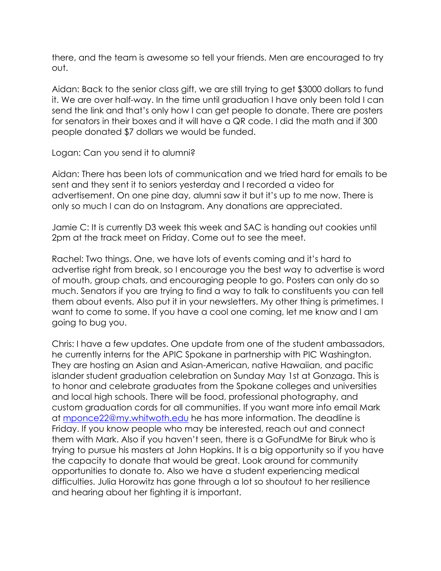there, and the team is awesome so tell your friends. Men are encouraged to try out.

Aidan: Back to the senior class gift, we are still trying to get \$3000 dollars to fund it. We are over half-way. In the time until graduation I have only been told I can send the link and that's only how I can get people to donate. There are posters for senators in their boxes and it will have a QR code. I did the math and if 300 people donated \$7 dollars we would be funded.

### Logan: Can you send it to alumni?

Aidan: There has been lots of communication and we tried hard for emails to be sent and they sent it to seniors yesterday and I recorded a video for advertisement. On one pine day, alumni saw it but it's up to me now. There is only so much I can do on Instagram. Any donations are appreciated.

Jamie C: It is currently D3 week this week and SAC is handing out cookies until 2pm at the track meet on Friday. Come out to see the meet.

Rachel: Two things. One, we have lots of events coming and it's hard to advertise right from break, so I encourage you the best way to advertise is word of mouth, group chats, and encouraging people to go. Posters can only do so much. Senators if you are trying to find a way to talk to constituents you can tell them about events. Also put it in your newsletters. My other thing is primetimes. I want to come to some. If you have a cool one coming, let me know and I am going to bug you.

Chris: I have a few updates. One update from one of the student ambassadors, he currently interns for the APIC Spokane in partnership with PIC Washington. They are hosting an Asian and Asian-American, native Hawaiian, and pacific islander student graduation celebration on Sunday May 1st at Gonzaga. This is to honor and celebrate graduates from the Spokane colleges and universities and local high schools. There will be food, professional photography, and custom graduation cords for all communities. If you want more info email Mark at mponce22@my.whitwoth.edu he has more information. The deadline is Friday. If you know people who may be interested, reach out and connect them with Mark. Also if you haven't seen, there is a GoFundMe for Biruk who is trying to pursue his masters at John Hopkins. It is a big opportunity so if you have the capacity to donate that would be great. Look around for community opportunities to donate to. Also we have a student experiencing medical difficulties. Julia Horowitz has gone through a lot so shoutout to her resilience and hearing about her fighting it is important.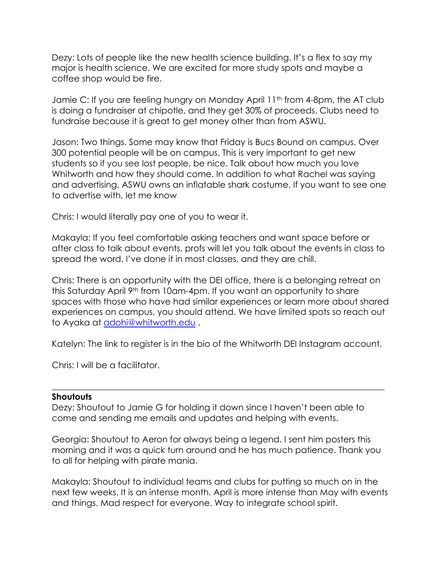Dezy: Lots of people like the new health science building. It's a flex to say my major is health science. We are excited for more study spots and maybe a coffee shop would be fire.

Jamie C: If you are feeling hungry on Monday April 11<sup>th</sup> from 4-8pm, the AT club is doing a fundraiser at chipotle, and they get 30% of proceeds. Clubs need to fundraise because it is great to get money other than from ASWU.

Jason: Two things. Some may know that Friday is Bucs Bound on campus. Over 300 potential people will be on campus. This is very important to get new students so if you see lost people, be nice. Talk about how much you love Whitworth and how they should come. In addition to what Rachel was saying and advertising, ASWU owns an inflatable shark costume. If you want to see one to advertise with, let me know

Chris: I would literally pay one of you to wear it.

Makayla: If you feel comfortable asking teachers and want space before or after class to talk about events, profs will let you talk about the events in class to spread the word. I've done it in most classes, and they are chill.

Chris: There is an opportunity with the DEI office, there is a belonging retreat on this Saturday April 9<sup>th</sup> from 10am-4pm. If you want an opportunity to share spaces with those who have had similar experiences or learn more about shared experiences on campus, you should attend. We have limited spots so reach out to Ayaka at adohi@whitworth.edu .

Katelyn: The link to register is in the bio of the Whitworth DEI Instagram account.

 $\_$  , and the set of the set of the set of the set of the set of the set of the set of the set of the set of the set of the set of the set of the set of the set of the set of the set of the set of the set of the set of th

Chris: I will be a facilitator.

### **Shoutouts**

Dezy: Shoutout to Jamie G for holding it down since I haven't been able to come and sending me emails and updates and helping with events.

Georgia: Shoutout to Aeron for always being a legend. I sent him posters this morning and it was a quick turn around and he has much patience. Thank you to all for helping with pirate mania.

Makayla: Shoutout to individual teams and clubs for putting so much on in the next few weeks. It is an intense month. April is more intense than May with events and things. Mad respect for everyone. Way to integrate school spirit.